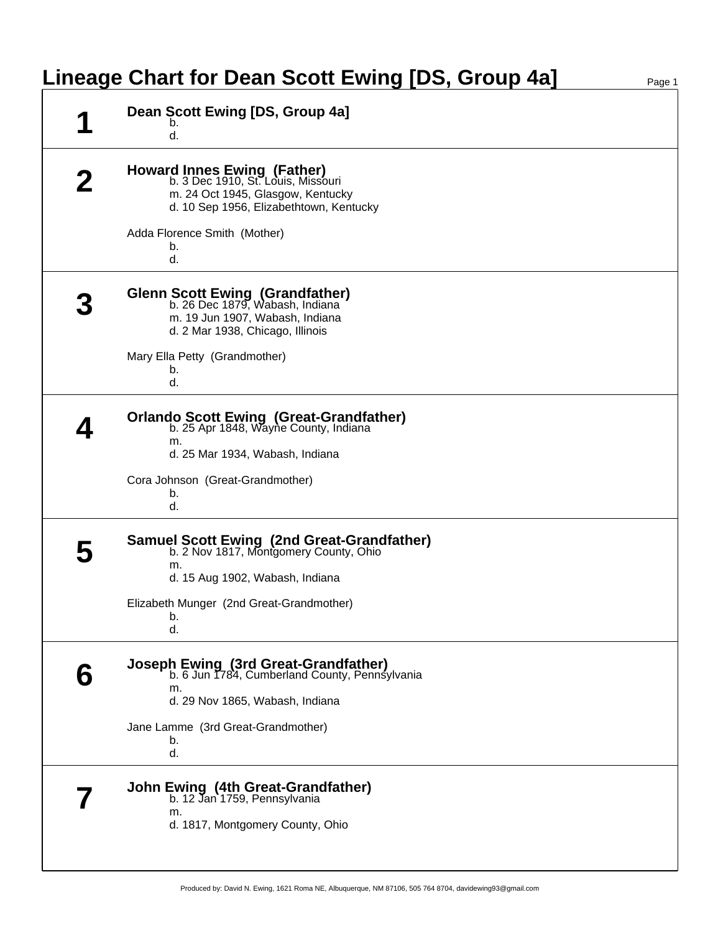## **Lineage Chart for Dean Scott Ewing [DS, Group 4a]** Page 1

| Dean Scott Ewing [DS, Group 4a]<br>b.<br>d.                                                                                                       |
|---------------------------------------------------------------------------------------------------------------------------------------------------|
| Howard Innes Ewing (Father)<br>b. 3 Dec 1910, St. Louis, Missouri<br>m. 24 Oct 1945, Glasgow, Kentucky<br>d. 10 Sep 1956, Elizabethtown, Kentucky |
| Adda Florence Smith (Mother)<br>b.<br>d.                                                                                                          |
| Glenn Scott Ewing (Grandfather)<br>b. 26 Dec 1879, Wabash, Indiana<br>m. 19 Jun 1907, Wabash, Indiana<br>d. 2 Mar 1938, Chicago, Illinois         |
| Mary Ella Petty (Grandmother)<br>b.<br>d.                                                                                                         |
| <b>Orlando Scott Ewing (Great-Grandfather)</b><br>b. 25 Apr 1848, Wayne County, Indiana<br>m.<br>d. 25 Mar 1934, Wabash, Indiana                  |
| Cora Johnson (Great-Grandmother)<br>b.<br>d.                                                                                                      |
| <b>Samuel Scott Ewing (2nd Great-Grandfather)</b><br>b. 2 Nov 1817, Montgomery County, Ohio<br>m.<br>d. 15 Aug 1902, Wabash, Indiana              |
| Elizabeth Munger (2nd Great-Grandmother)<br>b.<br>d.                                                                                              |
| <b>Joseph Ewing (3rd Great-Grandfather)</b><br>b. 6 Jun 1784, Cumberland County, Pennsylvania<br>m.<br>d. 29 Nov 1865, Wabash, Indiana            |
| Jane Lamme (3rd Great-Grandmother)<br>b.<br>d.                                                                                                    |
| <b>John Ewing (4th Great-Grandfather)</b><br>b. 12 Jan 1759, Pennsylvania<br>m.                                                                   |
| d. 1817, Montgomery County, Ohio                                                                                                                  |